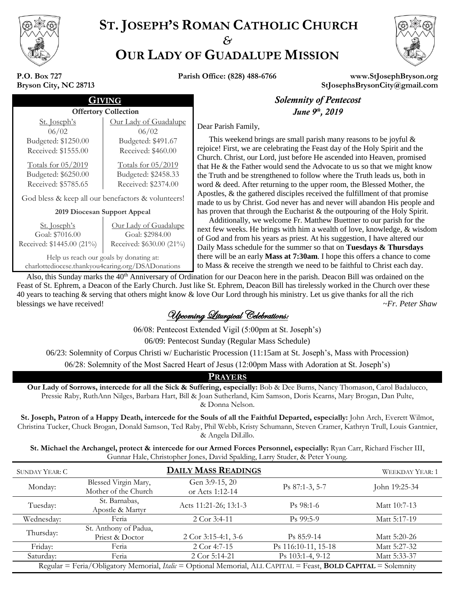

# **ST. JOSEPH'S ROMAN CATHOLIC CHURCH** *&* **OUR LADY OF GUADALUPE MISSION**



#### **P.O. Box 727 Bryson City, NC 28713**

**Parish Office: (828) 488-6766 www.StJosephBryson.org StJosephsBrysonCity@gmail.com**

| Solemnity                                                                           | NG<br><b>Offertory Collection</b>                  |                              |  |
|-------------------------------------------------------------------------------------|----------------------------------------------------|------------------------------|--|
| June 9                                                                              |                                                    |                              |  |
| Dear Parish Family,                                                                 | Our Lady of Guadalupe<br>06/02                     | <u>St. Joseph's</u><br>06/02 |  |
| This weekend brings are small par                                                   | Budgeted: \$491.67                                 | Budgeted: \$1250.00          |  |
| rejoice! First, we are celebrating the F<br>Church. Christ, our Lord, just before I | Received: \$460.00                                 | Received: \$1555.00          |  |
| that He & the Father would send the A                                               | Totals for 05/2019                                 | Totals for 05/2019           |  |
| the Truth and be strengthened to follo                                              | Budgeted: \$2458.33                                | Budgeted: \$6250.00          |  |
| word & deed. After returning to the up                                              | Received: \$2374.00                                | Received: \$5785.65          |  |
| Apostles, & the gathered disciples rec<br>made to us by Christ. God never has a     | God bless & keep all our benefactors & volunteers! |                              |  |
| has proven that through the Eucharist                                               | 2019 Diocesan Support Appeal                       |                              |  |
| Additionally we welcome Fr Mat                                                      |                                                    |                              |  |

St. Joseph's Goal: \$7016.00 Received: \$1445.00 (21%) Our Lady of Guadalupe Goal: \$2984.00 Received: \$630.00 (21%) Help us reach our goals by donating at: charlottediocese.thankyou4caring.org/DSADonations

## **Solemnity of Pentecost** *th , 2019*

 This weekend brings are small parish many reasons to be joyful & rejoice! First, we are celebrating the Feast day of the Holy Spirit and the Church. Christ, our Lord, just before He ascended into Heaven, promised that He & the Father would send the Advocate to us so that we might know the Truth and be strengthened to follow where the Truth leads us, both in word & deed. After returning to the upper room, the Blessed Mother, the Apostles, & the gathered disciples received the fulfillment of that promise made to us by Christ. God never has and never will abandon His people and has proven that through the Eucharist & the outpouring of the Holy Spirit.

 Additionally, we welcome Fr. Matthew Buettner to our parish for the next few weeks. He brings with him a wealth of love, knowledge, & wisdom of God and from his years as priest. At his suggestion, I have altered our Daily Mass schedule for the summer so that on **Tuesdays & Thursdays** there will be an early **Mass at 7:30am**. I hope this offers a chance to come to Mass & receive the strength we need to be faithful to Christ each day.

Also, this Sunday marks the 40<sup>th</sup> Anniversary of Ordination for our Deacon here in the parish. Deacon Bill was ordained on the Feast of St. Ephrem, a Deacon of the Early Church. Just like St. Ephrem, Deacon Bill has tirelessly worked in the Church over these 40 years to teaching & serving that others might know & love Our Lord through his ministry. Let us give thanks for all the rich blessings we have received! *~Fr. Peter Shaw*

Upcoming Liturgical Celebrations:

06/08: Pentecost Extended Vigil (5:00pm at St. Joseph's)

06/09: Pentecost Sunday (Regular Mass Schedule)

06/23: Solemnity of Corpus Christi w/ Eucharistic Procession (11:15am at St. Joseph's, Mass with Procession)

06/28: Solemnity of the Most Sacred Heart of Jesus (12:00pm Mass with Adoration at St. Joseph's)

### **PRAYERS**

**Our Lady of Sorrows, intercede for all the Sick & Suffering, especially:** Bob & Dee Burns, Nancy Thomason, Carol Badalucco, Pressie Raby, RuthAnn Nilges, Barbara Hart, Bill & Joan Sutherland, Kim Samson, Doris Kearns, Mary Brogan, Dan Pulte, & Donna Nelson.

**St. Joseph, Patron of a Happy Death, intercede for the Souls of all the Faithful Departed, especially:** John Arch, Everett Wilmot, Christina Tucker, Chuck Brogan, Donald Samson, Ted Raby, Phil Webb, Kristy Schumann, Steven Cramer, Kathryn Trull, Louis Gantnier, & Angela DiLillo.

**St. Michael the Archangel, protect & intercede for our Armed Forces Personnel, especially:** Ryan Carr, Richard Fischer III, Gunnar Hale, Christopher Jones, David Spalding, Larry Studer, & Peter Young.

| SUNDAY YEAR: C                                                                                                 | <b>DAILY MASS READINGS</b>                   |                                   |                     | <b>WEEKDAY YEAR: 1</b> |  |
|----------------------------------------------------------------------------------------------------------------|----------------------------------------------|-----------------------------------|---------------------|------------------------|--|
| Monday:                                                                                                        | Blessed Virgin Mary,<br>Mother of the Church | Gen 3:9-15, 20<br>or Acts 1:12-14 | Ps 87:1-3, 5-7      | John 19:25-34          |  |
| Tuesday:                                                                                                       | St. Barnabas,<br>Apostle & Martyr            | Acts 11:21-26; 13:1-3             | $Ps$ 98:1-6         | Matt 10:7-13           |  |
| Wednesday:                                                                                                     | Feria                                        | 2 Cor 3:4-11                      | $Ps$ 99:5-9         | Matt 5:17-19           |  |
| Thursday:                                                                                                      | St. Anthony of Padua,<br>Priest & Doctor     | 2 Cor $3:15-4:1, 3-6$             | $Ps 85:9-14$        | Matt 5:20-26           |  |
| Friday:                                                                                                        | Feria                                        | 2 Cor 4:7-15                      | Ps 116:10-11, 15-18 | Matt 5:27-32           |  |
| Saturday:                                                                                                      | Feria                                        | 2 Cor 5:14-21                     | $Ps$ 103:1-4, 9-12  | Matt 5:33-37           |  |
| Regular = Feria/Obligatory Memorial, Italic = Optional Memorial, ALL CAPITAL = Feast, BOLD CAPITAL = Solemnity |                                              |                                   |                     |                        |  |